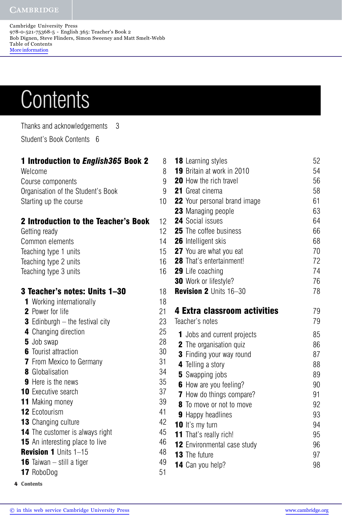## **CAMBRIDGE**

Cambridge University Press 978-0-521-75368-5 - English 365: Teacher's Book 2 Bob Dignen, Steve Flinders, Simon Sweeney and Matt Smelt-Webb Table of Contents More information

## **Contents**

Thanks and acknowledgements 3 Student's Book Contents 6

## **1 Introduction to** *English365* **Book 2** 8 Welcome 8 Course components 9 Organisation of the Student's Book 9 Starting up the course 10 **2 Introduction to the Teacher's Book** 12 Getting ready 12 Common elements 14 Teaching type 1 units 15 Teaching type 2 units 16 Teaching type 3 units 16 **3 Teacher's notes: Units 1–30** 18 1 Working internationally 18 2 Power for life 21 **3** Edinburgh – the festival city 23 **4** Changing direction 25 5 Job swap 28 **6** Tourist attraction 30 **7** From Mexico to Germany 31 8 Globalisation 34 **9** Here is the news 35 **10** Executive search 37 11 Making money 39

- 12 Ecotourism 41
- **13** Changing culture 42
- **14** The customer is always right 45
- **15** An interesting place to live 46
- Revision 1 Units 1–15 48
- **16** Taiwan still a tiger  $\sqrt{49}$
- 17 RoboDog 51
- **4 Contents**

| <b>18</b> Learning styles                       | 52       |
|-------------------------------------------------|----------|
| <b>19</b> Britain at work in 2010               | 54       |
| <b>20</b> How the rich travel                   | 56       |
| <b>21</b> Great cinema                          | 58       |
| <b>22</b> Your personal brand image             | 61       |
| 23 Managing people                              | 63       |
| <b>24</b> Social issues                         | 64       |
| <b>25</b> The coffee business                   | 66       |
| <b>26</b> Intelligent skis                      | 68       |
| <b>27</b> You are what you eat                  | 70       |
| <b>28</b> That's entertainment!                 | 72       |
| <b>29</b> Life coaching                         | 74       |
| <b>30</b> Work or lifestyle?                    | 76       |
| <b>Revision 2 Units 16-30</b>                   | 78       |
| 4 Extra classroom activities<br>Teacher's notes | 79<br>79 |
| <b>1</b> Jobs and current projects              | 85       |
| <b>2</b> The organisation quiz                  | 86       |
| <b>3</b> Finding your way round                 | 87       |
| 4 Telling a story                               | 88       |
| <b>5</b> Swapping jobs                          | 89       |
| <b>6</b> How are you feeling?                   | 90       |
| <b>7</b> How do things compare?                 | 91       |
| <b>8</b> To move or not to move                 | 92       |
| <b>9</b> Happy headlines                        | 93       |
| 10 It's my turn                                 | 94       |
| <b>11</b> That's really rich!                   | 95       |
| 12 Environmental case study                     | 96       |
| <b>13</b> The future                            | 97       |
| 14 Can you help?                                | 98       |